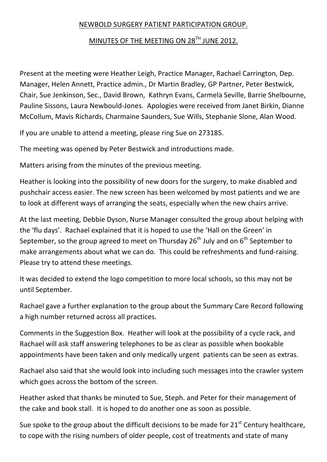## NEWBOLD SURGERY PATIENT PARTICIPATION GROUP.

## MINUTES OF THE MEETING ON 28<sup>TH</sup> JUNE 2012.

Present at the meeting were Heather Leigh, Practice Manager, Rachael Carrington, Dep. Manager, Helen Annett, Practice admin., Dr Martin Bradley, GP Partner, Peter Bestwick, Chair, Sue Jenkinson, Sec., David Brown, Kathryn Evans, Carmela Seville, Barrie Shelbourne, Pauline Sissons, Laura Newbould-Jones. Apologies were received from Janet Birkin, Dianne McCollum, Mavis Richards, Charmaine Saunders, Sue Wills, Stephanie Slone, Alan Wood.

If you are unable to attend a meeting, please ring Sue on 273185.

The meeting was opened by Peter Bestwick and introductions made.

Matters arising from the minutes of the previous meeting.

Heather is looking into the possibility of new doors for the surgery, to make disabled and pushchair access easier. The new screen has been welcomed by most patients and we are to look at different ways of arranging the seats, especially when the new chairs arrive.

At the last meeting, Debbie Dyson, Nurse Manager consulted the group about helping with the 'flu days'. Rachael explained that it is hoped to use the 'Hall on the Green' in September, so the group agreed to meet on Thursday  $26<sup>th</sup>$  July and on  $6<sup>th</sup>$  September to make arrangements about what we can do. This could be refreshments and fund-raising. Please try to attend these meetings.

It was decided to extend the logo competition to more local schools, so this may not be until September.

Rachael gave a further explanation to the group about the Summary Care Record following a high number returned across all practices.

Comments in the Suggestion Box. Heather will look at the possibility of a cycle rack, and Rachael will ask staff answering telephones to be as clear as possible when bookable appointments have been taken and only medically urgent patients can be seen as extras.

Rachael also said that she would look into including such messages into the crawler system which goes across the bottom of the screen.

Heather asked that thanks be minuted to Sue, Steph. and Peter for their management of the cake and book stall. It is hoped to do another one as soon as possible.

Sue spoke to the group about the difficult decisions to be made for  $21<sup>st</sup>$  Century healthcare, to cope with the rising numbers of older people, cost of treatments and state of many